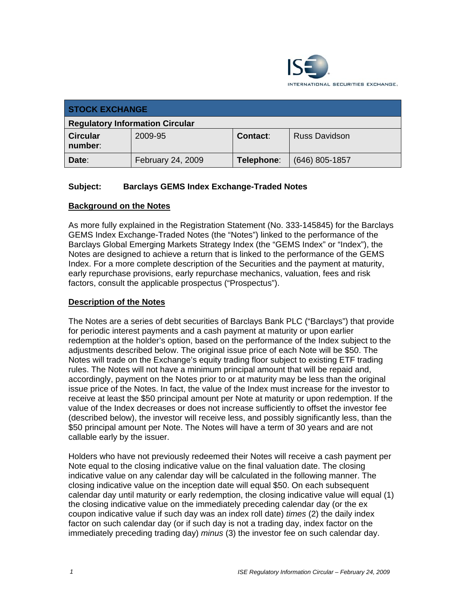

| <b>STOCK EXCHANGE</b>                  |                   |                 |                      |
|----------------------------------------|-------------------|-----------------|----------------------|
| <b>Regulatory Information Circular</b> |                   |                 |                      |
| <b>Circular</b><br>number:             | 2009-95           | <b>Contact:</b> | <b>Russ Davidson</b> |
| Date:                                  | February 24, 2009 | Telephone:      | $(646)$ 805-1857     |

## **Subject: Barclays GEMS Index Exchange-Traded Notes**

#### **Background on the Notes**

As more fully explained in the Registration Statement (No. 333-145845) for the Barclays GEMS Index Exchange-Traded Notes (the "Notes") linked to the performance of the Barclays Global Emerging Markets Strategy Index (the "GEMS Index" or "Index"), the Notes are designed to achieve a return that is linked to the performance of the GEMS Index. For a more complete description of the Securities and the payment at maturity, early repurchase provisions, early repurchase mechanics, valuation, fees and risk factors, consult the applicable prospectus ("Prospectus").

#### **Description of the Notes**

The Notes are a series of debt securities of Barclays Bank PLC ("Barclays") that provide for periodic interest payments and a cash payment at maturity or upon earlier redemption at the holder's option, based on the performance of the Index subject to the adjustments described below. The original issue price of each Note will be \$50. The Notes will trade on the Exchange's equity trading floor subject to existing ETF trading rules. The Notes will not have a minimum principal amount that will be repaid and, accordingly, payment on the Notes prior to or at maturity may be less than the original issue price of the Notes. In fact, the value of the Index must increase for the investor to receive at least the \$50 principal amount per Note at maturity or upon redemption. If the value of the Index decreases or does not increase sufficiently to offset the investor fee (described below), the investor will receive less, and possibly significantly less, than the \$50 principal amount per Note. The Notes will have a term of 30 years and are not callable early by the issuer.

Holders who have not previously redeemed their Notes will receive a cash payment per Note equal to the closing indicative value on the final valuation date. The closing indicative value on any calendar day will be calculated in the following manner. The closing indicative value on the inception date will equal \$50. On each subsequent calendar day until maturity or early redemption, the closing indicative value will equal (1) the closing indicative value on the immediately preceding calendar day (or the ex coupon indicative value if such day was an index roll date) *times* (2) the daily index factor on such calendar day (or if such day is not a trading day, index factor on the immediately preceding trading day) *minus* (3) the investor fee on such calendar day.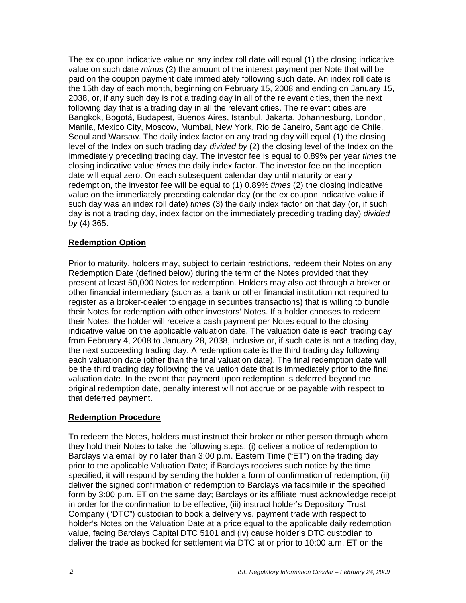The ex coupon indicative value on any index roll date will equal (1) the closing indicative value on such date *minus* (2) the amount of the interest payment per Note that will be paid on the coupon payment date immediately following such date. An index roll date is the 15th day of each month, beginning on February 15, 2008 and ending on January 15, 2038, or, if any such day is not a trading day in all of the relevant cities, then the next following day that is a trading day in all the relevant cities. The relevant cities are Bangkok, Bogotá, Budapest, Buenos Aires, Istanbul, Jakarta, Johannesburg, London, Manila, Mexico City, Moscow, Mumbai, New York, Rio de Janeiro, Santiago de Chile, Seoul and Warsaw. The daily index factor on any trading day will equal (1) the closing level of the Index on such trading day *divided by* (2) the closing level of the Index on the immediately preceding trading day. The investor fee is equal to 0.89% per year *times* the closing indicative value *times* the daily index factor. The investor fee on the inception date will equal zero. On each subsequent calendar day until maturity or early redemption, the investor fee will be equal to (1) 0.89% *times* (2) the closing indicative value on the immediately preceding calendar day (or the ex coupon indicative value if such day was an index roll date) *times* (3) the daily index factor on that day (or, if such day is not a trading day, index factor on the immediately preceding trading day) *divided by* (4) 365.

#### **Redemption Option**

Prior to maturity, holders may, subject to certain restrictions, redeem their Notes on any Redemption Date (defined below) during the term of the Notes provided that they present at least 50,000 Notes for redemption. Holders may also act through a broker or other financial intermediary (such as a bank or other financial institution not required to register as a broker-dealer to engage in securities transactions) that is willing to bundle their Notes for redemption with other investors' Notes. If a holder chooses to redeem their Notes, the holder will receive a cash payment per Notes equal to the closing indicative value on the applicable valuation date. The valuation date is each trading day from February 4, 2008 to January 28, 2038, inclusive or, if such date is not a trading day, the next succeeding trading day. A redemption date is the third trading day following each valuation date (other than the final valuation date). The final redemption date will be the third trading day following the valuation date that is immediately prior to the final valuation date. In the event that payment upon redemption is deferred beyond the original redemption date, penalty interest will not accrue or be payable with respect to that deferred payment.

#### **Redemption Procedure**

To redeem the Notes, holders must instruct their broker or other person through whom they hold their Notes to take the following steps: (i) deliver a notice of redemption to Barclays via email by no later than 3:00 p.m. Eastern Time ("ET") on the trading day prior to the applicable Valuation Date; if Barclays receives such notice by the time specified, it will respond by sending the holder a form of confirmation of redemption, (ii) deliver the signed confirmation of redemption to Barclays via facsimile in the specified form by 3:00 p.m. ET on the same day; Barclays or its affiliate must acknowledge receipt in order for the confirmation to be effective, (iii) instruct holder's Depository Trust Company ("DTC") custodian to book a delivery vs. payment trade with respect to holder's Notes on the Valuation Date at a price equal to the applicable daily redemption value, facing Barclays Capital DTC 5101 and (iv) cause holder's DTC custodian to deliver the trade as booked for settlement via DTC at or prior to 10:00 a.m. ET on the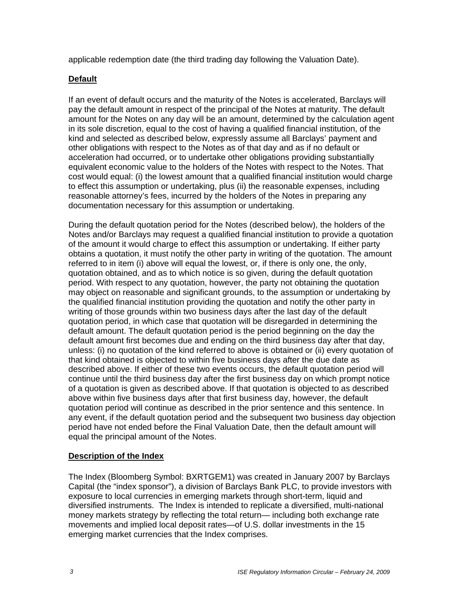applicable redemption date (the third trading day following the Valuation Date).

### **Default**

If an event of default occurs and the maturity of the Notes is accelerated, Barclays will pay the default amount in respect of the principal of the Notes at maturity. The default amount for the Notes on any day will be an amount, determined by the calculation agent in its sole discretion, equal to the cost of having a qualified financial institution, of the kind and selected as described below, expressly assume all Barclays' payment and other obligations with respect to the Notes as of that day and as if no default or acceleration had occurred, or to undertake other obligations providing substantially equivalent economic value to the holders of the Notes with respect to the Notes. That cost would equal: (i) the lowest amount that a qualified financial institution would charge to effect this assumption or undertaking, plus (ii) the reasonable expenses, including reasonable attorney's fees, incurred by the holders of the Notes in preparing any documentation necessary for this assumption or undertaking.

During the default quotation period for the Notes (described below), the holders of the Notes and/or Barclays may request a qualified financial institution to provide a quotation of the amount it would charge to effect this assumption or undertaking. If either party obtains a quotation, it must notify the other party in writing of the quotation. The amount referred to in item (i) above will equal the lowest, or, if there is only one, the only, quotation obtained, and as to which notice is so given, during the default quotation period. With respect to any quotation, however, the party not obtaining the quotation may object on reasonable and significant grounds, to the assumption or undertaking by the qualified financial institution providing the quotation and notify the other party in writing of those grounds within two business days after the last day of the default quotation period, in which case that quotation will be disregarded in determining the default amount. The default quotation period is the period beginning on the day the default amount first becomes due and ending on the third business day after that day, unless: (i) no quotation of the kind referred to above is obtained or (ii) every quotation of that kind obtained is objected to within five business days after the due date as described above. If either of these two events occurs, the default quotation period will continue until the third business day after the first business day on which prompt notice of a quotation is given as described above. If that quotation is objected to as described above within five business days after that first business day, however, the default quotation period will continue as described in the prior sentence and this sentence. In any event, if the default quotation period and the subsequent two business day objection period have not ended before the Final Valuation Date, then the default amount will equal the principal amount of the Notes.

#### **Description of the Index**

The Index (Bloomberg Symbol: BXRTGEM1) was created in January 2007 by Barclays Capital (the "index sponsor"), a division of Barclays Bank PLC, to provide investors with exposure to local currencies in emerging markets through short-term, liquid and diversified instruments. The Index is intended to replicate a diversified, multi-national money markets strategy by reflecting the total return— including both exchange rate movements and implied local deposit rates—of U.S. dollar investments in the 15 emerging market currencies that the Index comprises.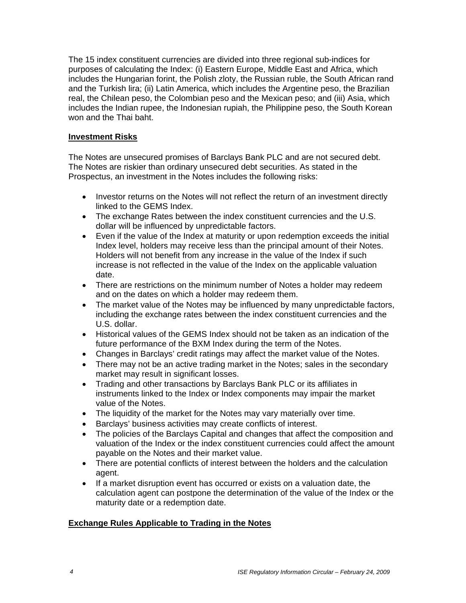The 15 index constituent currencies are divided into three regional sub-indices for purposes of calculating the Index: (i) Eastern Europe, Middle East and Africa, which includes the Hungarian forint, the Polish zloty, the Russian ruble, the South African rand and the Turkish lira; (ii) Latin America, which includes the Argentine peso, the Brazilian real, the Chilean peso, the Colombian peso and the Mexican peso; and (iii) Asia, which includes the Indian rupee, the Indonesian rupiah, the Philippine peso, the South Korean won and the Thai baht.

#### **Investment Risks**

The Notes are unsecured promises of Barclays Bank PLC and are not secured debt. The Notes are riskier than ordinary unsecured debt securities. As stated in the Prospectus, an investment in the Notes includes the following risks:

- Investor returns on the Notes will not reflect the return of an investment directly linked to the GEMS Index.
- The exchange Rates between the index constituent currencies and the U.S. dollar will be influenced by unpredictable factors.
- Even if the value of the Index at maturity or upon redemption exceeds the initial Index level, holders may receive less than the principal amount of their Notes. Holders will not benefit from any increase in the value of the Index if such increase is not reflected in the value of the Index on the applicable valuation date.
- There are restrictions on the minimum number of Notes a holder may redeem and on the dates on which a holder may redeem them.
- The market value of the Notes may be influenced by many unpredictable factors, including the exchange rates between the index constituent currencies and the U.S. dollar.
- Historical values of the GEMS Index should not be taken as an indication of the future performance of the BXM Index during the term of the Notes.
- Changes in Barclays' credit ratings may affect the market value of the Notes.
- There may not be an active trading market in the Notes; sales in the secondary market may result in significant losses.
- Trading and other transactions by Barclays Bank PLC or its affiliates in instruments linked to the Index or Index components may impair the market value of the Notes.
- The liquidity of the market for the Notes may vary materially over time.
- Barclays' business activities may create conflicts of interest.
- The policies of the Barclays Capital and changes that affect the composition and valuation of the Index or the index constituent currencies could affect the amount payable on the Notes and their market value.
- There are potential conflicts of interest between the holders and the calculation agent.
- If a market disruption event has occurred or exists on a valuation date, the calculation agent can postpone the determination of the value of the Index or the maturity date or a redemption date.

#### **Exchange Rules Applicable to Trading in the Notes**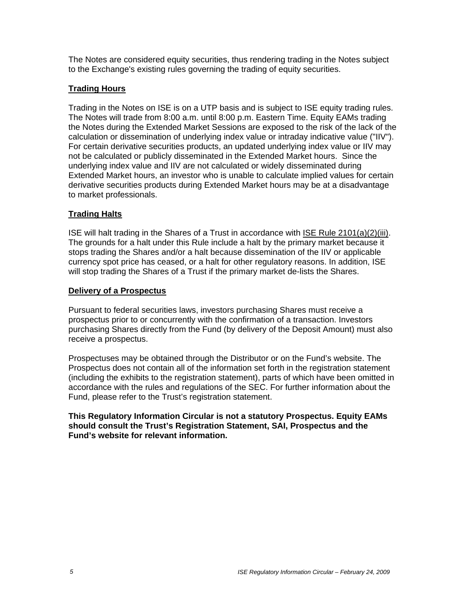The Notes are considered equity securities, thus rendering trading in the Notes subject to the Exchange's existing rules governing the trading of equity securities.

## **Trading Hours**

Trading in the Notes on ISE is on a UTP basis and is subject to ISE equity trading rules. The Notes will trade from 8:00 a.m. until 8:00 p.m. Eastern Time. Equity EAMs trading the Notes during the Extended Market Sessions are exposed to the risk of the lack of the calculation or dissemination of underlying index value or intraday indicative value ("IIV"). For certain derivative securities products, an updated underlying index value or IIV may not be calculated or publicly disseminated in the Extended Market hours. Since the underlying index value and IIV are not calculated or widely disseminated during Extended Market hours, an investor who is unable to calculate implied values for certain derivative securities products during Extended Market hours may be at a disadvantage to market professionals.

#### **Trading Halts**

ISE will halt trading in the Shares of a Trust in accordance with ISE Rule 2101(a)(2)(iii). The grounds for a halt under this Rule include a halt by the primary market because it stops trading the Shares and/or a halt because dissemination of the IIV or applicable currency spot price has ceased, or a halt for other regulatory reasons. In addition, ISE will stop trading the Shares of a Trust if the primary market de-lists the Shares.

#### **Delivery of a Prospectus**

Pursuant to federal securities laws, investors purchasing Shares must receive a prospectus prior to or concurrently with the confirmation of a transaction. Investors purchasing Shares directly from the Fund (by delivery of the Deposit Amount) must also receive a prospectus.

Prospectuses may be obtained through the Distributor or on the Fund's website. The Prospectus does not contain all of the information set forth in the registration statement (including the exhibits to the registration statement), parts of which have been omitted in accordance with the rules and regulations of the SEC. For further information about the Fund, please refer to the Trust's registration statement.

**This Regulatory Information Circular is not a statutory Prospectus. Equity EAMs should consult the Trust's Registration Statement, SAI, Prospectus and the Fund's website for relevant information.**